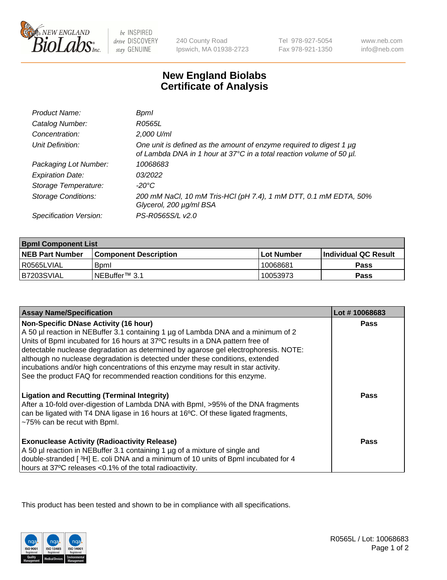

 $be$  INSPIRED drive DISCOVERY stay GENUINE

240 County Road Ipswich, MA 01938-2723 Tel 978-927-5054 Fax 978-921-1350

www.neb.com info@neb.com

## **New England Biolabs Certificate of Analysis**

| Product Name:              | Bpml                                                                                                                                             |
|----------------------------|--------------------------------------------------------------------------------------------------------------------------------------------------|
| Catalog Number:            | R0565L                                                                                                                                           |
| Concentration:             | 2,000 U/ml                                                                                                                                       |
| Unit Definition:           | One unit is defined as the amount of enzyme required to digest 1 $\mu$ g<br>of Lambda DNA in 1 hour at 37°C in a total reaction volume of 50 µl. |
| Packaging Lot Number:      | 10068683                                                                                                                                         |
| <b>Expiration Date:</b>    | 03/2022                                                                                                                                          |
| Storage Temperature:       | $-20^{\circ}$ C                                                                                                                                  |
| <b>Storage Conditions:</b> | 200 mM NaCl, 10 mM Tris-HCl (pH 7.4), 1 mM DTT, 0.1 mM EDTA, 50%<br>Glycerol, 200 µg/ml BSA                                                      |
| Specification Version:     | PS-R0565S/L v2.0                                                                                                                                 |

| <b>Bpml Component List</b> |                         |             |                             |  |
|----------------------------|-------------------------|-------------|-----------------------------|--|
| <b>NEB Part Number</b>     | l Component Description | ⊺Lot Number | <b>Individual QC Result</b> |  |
| l R0565LVIAL               | <b>B</b> oml            | 10068681    | Pass                        |  |
| B7203SVIAL                 | INEBuffer™ 3.1          | 10053973    | Pass                        |  |

| <b>Assay Name/Specification</b>                                                                                                                                                                                                                                                                           | Lot #10068683 |
|-----------------------------------------------------------------------------------------------------------------------------------------------------------------------------------------------------------------------------------------------------------------------------------------------------------|---------------|
| <b>Non-Specific DNase Activity (16 hour)</b><br>A 50 µl reaction in NEBuffer 3.1 containing 1 µg of Lambda DNA and a minimum of 2<br>Units of BpmI incubated for 16 hours at 37°C results in a DNA pattern free of<br>detectable nuclease degradation as determined by agarose gel electrophoresis. NOTE: | <b>Pass</b>   |
| although no nuclease degradation is detected under these conditions, extended<br>incubations and/or high concentrations of this enzyme may result in star activity.<br>See the product FAQ for recommended reaction conditions for this enzyme.                                                           |               |
| <b>Ligation and Recutting (Terminal Integrity)</b><br>After a 10-fold over-digestion of Lambda DNA with Bpml, >95% of the DNA fragments<br>can be ligated with T4 DNA ligase in 16 hours at 16°C. Of these ligated fragments,<br>~75% can be recut with Bpml.                                             | Pass          |
| <b>Exonuclease Activity (Radioactivity Release)</b><br>A 50 µl reaction in NEBuffer 3.1 containing 1 µg of a mixture of single and<br>double-stranded [3H] E. coli DNA and a minimum of 10 units of BpmI incubated for 4<br>hours at 37°C releases <0.1% of the total radioactivity.                      | Pass          |

This product has been tested and shown to be in compliance with all specifications.